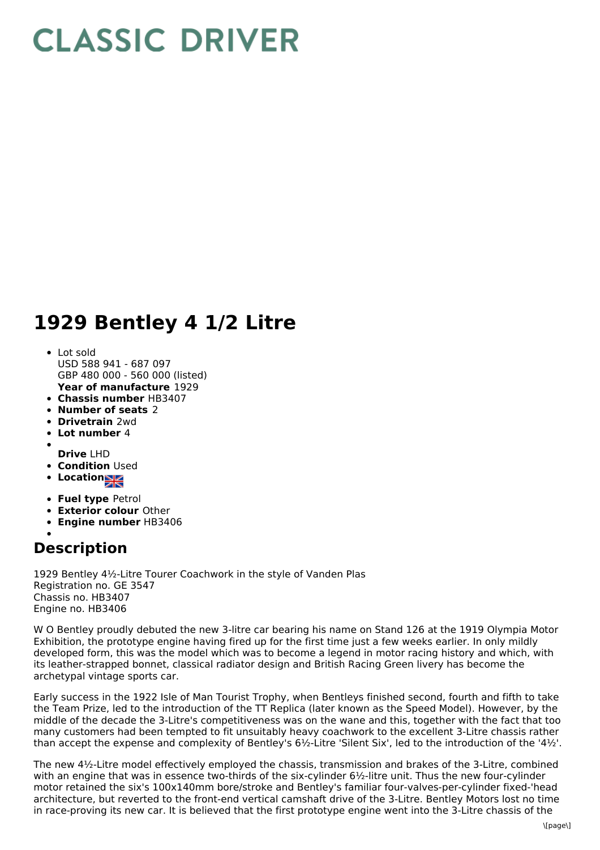## **CLASSIC DRIVER**

## **1929 Bentley 4 1/2 Litre**

- **Year of manufacture** 1929 Lot sold USD 588 941 - 687 097 GBP 480 000 - 560 000 (listed)
- **Chassis number** HB3407
- **Number of seats** 2
- **Drivetrain** 2wd
- **Lot number** 4
- 
- **Drive** LHD
- **Condition Used**
- **Locations**
- **Fuel type** Petrol
- **Exterior colour** Other
- **Engine number** HB3406

## **Description**

1929 Bentley 4½-Litre Tourer Coachwork in the style of Vanden Plas Registration no. GE 3547 Chassis no. HB3407 Engine no. HB3406

W O Bentley proudly debuted the new 3-litre car bearing his name on Stand 126 at the 1919 Olympia Motor Exhibition, the prototype engine having fired up for the first time just a few weeks earlier. In only mildly developed form, this was the model which was to become a legend in motor racing history and which, with its leather-strapped bonnet, classical radiator design and British Racing Green livery has become the archetypal vintage sports car.

Early success in the 1922 Isle of Man Tourist Trophy, when Bentleys finished second, fourth and fifth to take the Team Prize, led to the introduction of the TT Replica (later known as the Speed Model). However, by the middle of the decade the 3-Litre's competitiveness was on the wane and this, together with the fact that too many customers had been tempted to fit unsuitably heavy coachwork to the excellent 3-Litre chassis rather than accept the expense and complexity of Bentley's 6½-Litre 'Silent Six', led to the introduction of the '4½'.

The new 4½-Litre model effectively employed the chassis, transmission and brakes of the 3-Litre, combined with an engine that was in essence two-thirds of the six-cylinder 6½-litre unit. Thus the new four-cylinder motor retained the six's 100x140mm bore/stroke and Bentley's familiar four-valves-per-cylinder fixed-'head architecture, but reverted to the front-end vertical camshaft drive of the 3-Litre. Bentley Motors lost no time in race-proving its new car. It is believed that the first prototype engine went into the 3-Litre chassis of the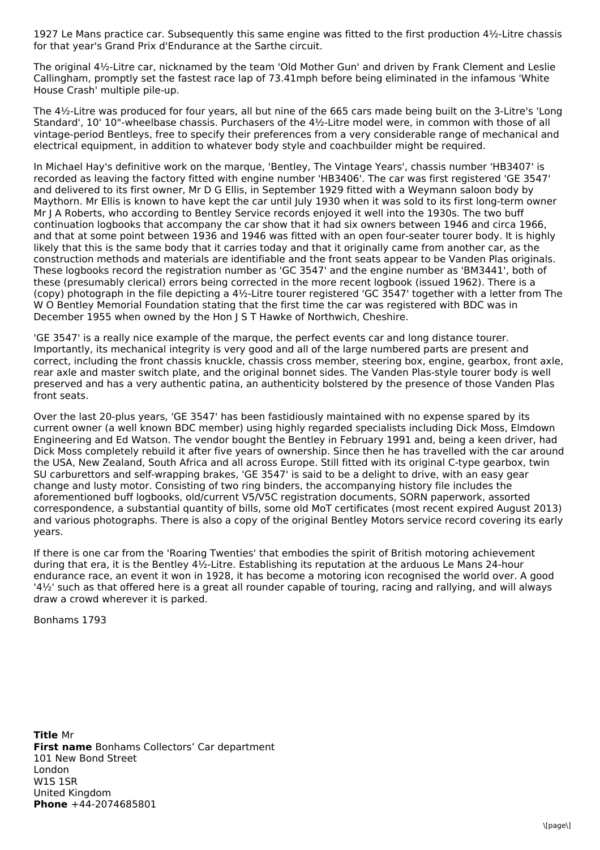1927 Le Mans practice car. Subsequently this same engine was fitted to the first production 4½-Litre chassis for that year's Grand Prix d'Endurance at the Sarthe circuit.

The original 4½-Litre car, nicknamed by the team 'Old Mother Gun' and driven by Frank Clement and Leslie Callingham, promptly set the fastest race lap of 73.41mph before being eliminated in the infamous 'White House Crash' multiple pile-up.

The 4½-Litre was produced for four years, all but nine of the 665 cars made being built on the 3-Litre's 'Long Standard', 10' 10"-wheelbase chassis. Purchasers of the 4½-Litre model were, in common with those of all vintage-period Bentleys, free to specify their preferences from a very considerable range of mechanical and electrical equipment, in addition to whatever body style and coachbuilder might be required.

In Michael Hay's definitive work on the marque, 'Bentley, The Vintage Years', chassis number 'HB3407' is recorded as leaving the factory fitted with engine number 'HB3406'. The car was first registered 'GE 3547' and delivered to its first owner, Mr D G Ellis, in September 1929 fitted with a Weymann saloon body by Maythorn. Mr Ellis is known to have kept the car until July 1930 when it was sold to its first long-term owner Mr J A Roberts, who according to Bentley Service records enjoyed it well into the 1930s. The two buff continuation logbooks that accompany the car show that it had six owners between 1946 and circa 1966, and that at some point between 1936 and 1946 was fitted with an open four-seater tourer body. It is highly likely that this is the same body that it carries today and that it originally came from another car, as the construction methods and materials are identifiable and the front seats appear to be Vanden Plas originals. These logbooks record the registration number as 'GC 3547' and the engine number as 'BM3441', both of these (presumably clerical) errors being corrected in the more recent logbook (issued 1962). There is a (copy) photograph in the file depicting a 4½-Litre tourer registered 'GC 3547' together with a letter from The W O Bentley Memorial Foundation stating that the first time the car was registered with BDC was in December 1955 when owned by the Hon J S T Hawke of Northwich, Cheshire.

'GE 3547' is a really nice example of the marque, the perfect events car and long distance tourer. Importantly, its mechanical integrity is very good and all of the large numbered parts are present and correct, including the front chassis knuckle, chassis cross member, steering box, engine, gearbox, front axle, rear axle and master switch plate, and the original bonnet sides. The Vanden Plas-style tourer body is well preserved and has a very authentic patina, an authenticity bolstered by the presence of those Vanden Plas front seats.

Over the last 20-plus years, 'GE 3547' has been fastidiously maintained with no expense spared by its current owner (a well known BDC member) using highly regarded specialists including Dick Moss, Elmdown Engineering and Ed Watson. The vendor bought the Bentley in February 1991 and, being a keen driver, had Dick Moss completely rebuild it after five years of ownership. Since then he has travelled with the car around the USA, New Zealand, South Africa and all across Europe. Still fitted with its original C-type gearbox, twin SU carburettors and self-wrapping brakes, 'GE 3547' is said to be a delight to drive, with an easy gear change and lusty motor. Consisting of two ring binders, the accompanying history file includes the aforementioned buff logbooks, old/current V5/V5C registration documents, SORN paperwork, assorted correspondence, a substantial quantity of bills, some old MoT certificates (most recent expired August 2013) and various photographs. There is also a copy of the original Bentley Motors service record covering its early years.

If there is one car from the 'Roaring Twenties' that embodies the spirit of British motoring achievement during that era, it is the Bentley 4½-Litre. Establishing its reputation at the arduous Le Mans 24-hour endurance race, an event it won in 1928, it has become a motoring icon recognised the world over. A good '4½' such as that offered here is a great all rounder capable of touring, racing and rallying, and will always draw a crowd wherever it is parked.

Bonhams 1793

**Title** Mr **First name** Bonhams Collectors' Car department **Phone** +44-2074685801 101 New Bond Street London W1S 1SR United Kingdom